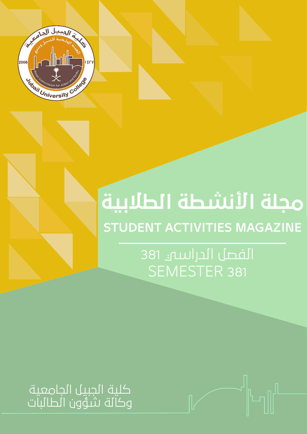

# **مجلة الأنشطة الطلابية STUDENT ACTIVITIES MAGAZINE**

الفصل الدراسي 381 SEMESTER 381

كلية الجبيل الجامعية وكالة شؤون الطالبات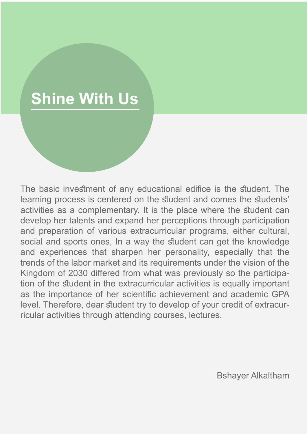# **Shine With Us**

The basic investment of any educational edifice is the student. The learning process is centered on the student and comes the students' activities as a complementary. It is the place where the student can develop her talents and expand her perceptions through participation and preparation of various extracurricular programs, either cultural, social and sports ones, In a way the student can get the knowledge and experiences that sharpen her personality, especially that the trends of the labor market and its requirements under the vision of the Kingdom of 2030 differed from what was previously so the participation of the student in the extracurricular activities is equally important as the importance of her scientific achievement and academic GPA level. Therefore, dear student try to develop of your credit of extracurricular activities through attending courses, lectures.

Bshayer Alkaltham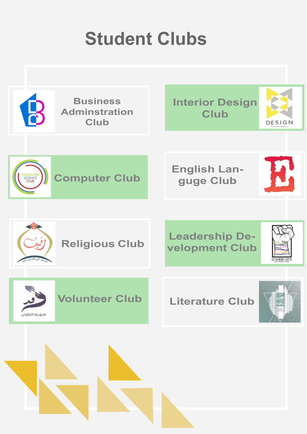# **Student Clubs**

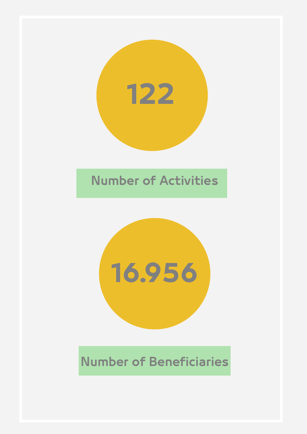

## **Number of Activities**



## **Number of Beneficiaries**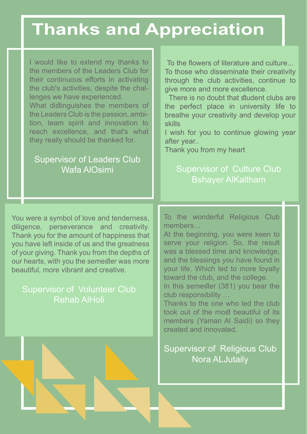# **Thanks and Appreciation**

I would like to extend my thanks to the members of the Leaders Club for their continuous efforts in activating the club's activities, despite the challenges we have experienced.

What distinguishes the members of the Leaders Club is the passion, ambition, team spirit and innovation to reach excellence, and that's what they really should be thanked for.

#### Supervisor of Leaders Club Wafa AlOsimi

To the flowers of literature and culture...

To those who disseminate their creativity through the club activities, continue to give more and more excellence.

There is no doubt that student clubs are the perfect place in university life to breathe your creativity and develop your skills

I wish for you to continue glowing year after year..

Thank you from my heart

#### Supervisor of Culture Club Bshayer AlKaltham

You were a symbol of love and tenderness, diligence, perseverance and creativity. Thank you for the amount of happiness that you have left inside of us and the greatness of your giving. Thank you from the depths of our hearts, with you the semester was more beautiful, more vibrant and creative.

#### Supervisor of Volunteer Club Rehab AlHoli

To the wonderful Religious Club members…

At the beginning, you were keen to serve your religion. So, the result was a blessed time and knowledge, and the blessings you have found in your life. Which led to more loyalty toward the club, and the college.

In this semester (381) you bear the club responsibility …

Thanks to the one who led the club took out of the most beautiful of its members (Yaman Al Saidi) so they created and innovated.

#### Supervisor of Religious Club Nora ALJutaily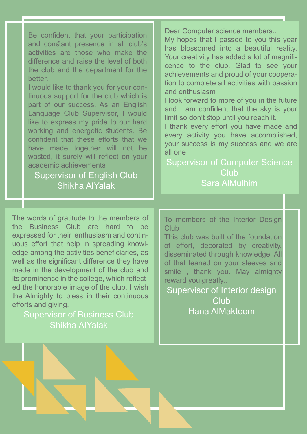Be confident that your participation and constant presence in all club's activities are those who make the difference and raise the level of both the club and the department for the better.

I would like to thank you for your continuous support for the club which is part of our success. As an English Language Club Supervisor, I would like to express my pride to our hard working and energetic students. Be confident that these efforts that we have made together will not be wasted, it surely will reflect on your academic achievements

#### Supervisor of English Club Shikha AlYalak

Dear Computer science members..

My hopes that I passed to you this year has blossomed into a beautiful reality. Your creativity has added a lot of magnificence to the club. Glad to see your achievements and proud of your cooperation to complete all activities with passion and enthusiasm

I look forward to more of you in the future and I am confident that the sky is your limit so don't stop until you reach it.

I thank every effort you have made and every activity you have accomplished, your success is my success and we are all one

Supervisor of Computer Science **Club** Sara AlMulhim

The words of gratitude to the members of the Business Club are hard to be expressed for their enthusiasm and continuous effort that help in spreading knowledge among the activities beneficiaries, as well as the significant difference they have made in the development of the club and its prominence in the college, which reflected the honorable image of the club. I wish the Almighty to bless in their continuous efforts and giving.

Supervisor of Business Club Shikha AlYalak

To members of the Interior Design **Club** 

This club was built of the foundation of effort, decorated by creativity, disseminated through knowledge. All of that leaned on your sleeves and smile , thank you. May almighty reward you greatly..

Supervisor of Interior design **Club** Hana AlMaktoom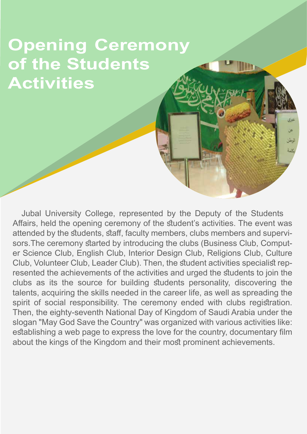# **Opening Ceremony of the Students Activities**

Jubal University College, represented by the Deputy of the Students Affairs, held the opening ceremony of the student's activities. The event was attended by the students, staff, faculty members, clubs members and supervisors.The ceremony started by introducing the clubs (Business Club, Computer Science Club, English Club, Interior Design Club, Religions Club, Culture Club, Volunteer Club, Leader Club). Then, the student activities specialist represented the achievements of the activities and urged the students to join the clubs as its the source for building students personality, discovering the talents, acquiring the skills needed in the career life, as well as spreading the spirit of social responsibility. The ceremony ended with clubs registration. Then, the eighty-seventh National Day of Kingdom of Saudi Arabia under the slogan "May God Save the Country" was organized with various activities like: establishing a web page to express the love for the country, documentary film about the kings of the Kingdom and their most prominent achievements.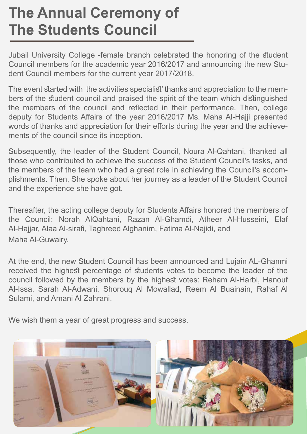## **The Annual Ceremony of The Students Council**

Jubail University College -female branch celebrated the honoring of the student Council members for the academic year 2016/2017 and announcing the new Student Council members for the current year 2017/2018.

The event started with the activities specialist' thanks and appreciation to the members of the student council and praised the spirit of the team which distinguished the members of the council and reflected in their performance. Then, college deputy for Students Affairs of the year 2016/2017 Ms. Maha Al-Hajji presented words of thanks and appreciation for their efforts during the year and the achievements of the council since its inception.

Subsequently, the leader of the Student Council, Noura Al-Qahtani, thanked all those who contributed to achieve the success of the Student Council's tasks, and the members of the team who had a great role in achieving the Council's accomplishments. Then, She spoke about her journey as a leader of the Student Council and the experience she have got.

Thereafter, the acting college deputy for Students Affairs honored the members of the Council: Norah AlQahtani, Razan Al-Ghamdi, Atheer Al-Husseini, Elaf Al-Hajjar, Alaa Al-sirafi, Taghreed Alghanim, Fatima Al-Najidi, and Maha Al-Guwairy.

At the end, the new Student Council has been announced and Lujain AL-Ghanmi received the highest percentage of students votes to become the leader of the council followed by the members by the highest votes: Reham Al-Harbi, Hanouf Al-Issa, Sarah Al-Adwani, Shorouq Al Mowallad, Reem Al Buainain, Rahaf Al Sulami, and Amani Al Zahrani.

We wish them a year of great progress and success.

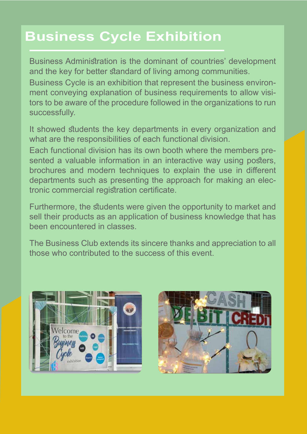## **Business Cycle Exhibition**

Business Administration is the dominant of countries' development and the key for better standard of living among communities. Business Cycle is an exhibition that represent the business environment conveying explanation of business requirements to allow visitors to be aware of the procedure followed in the organizations to run successfully.

It showed students the key departments in every organization and what are the responsibilities of each functional division.

Each functional division has its own booth where the members presented a valuable information in an interactive way using posters, brochures and modern techniques to explain the use in different departments such as presenting the approach for making an electronic commercial registration certificate.

Furthermore, the students were given the opportunity to market and sell their products as an application of business knowledge that has been encountered in classes.

The Business Club extends its sincere thanks and appreciation to all those who contributed to the success of this event.



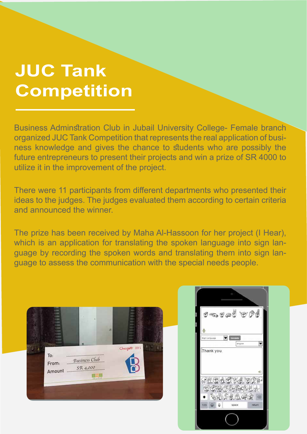# **JUC Tank Competition**

Business Adminstration Club in Jubail University College- Female branch organized JUC Tank Competition that represents the real application of business knowledge and gives the chance to students who are possibly the future entrepreneurs to present their projects and win a prize of SR 4000 to utilize it in the improvement of the project.

There were 11 participants from different departments who presented their ideas to the judges. The judges evaluated them according to certain criteria and announced the winner.

The prize has been received by Maha Al-Hassoon for her project (I Hear), which is an application for translating the spoken language into sign language by recording the spoken words and translating them into sign language to assess the communication with the special needs people.



 $\n *C Ch Ch Ch Ch Ch Ch Ch Ch Ch Ch Ch Ch Ch Ch Ch Ch Ch Ch Ch Ch Ch Ch Ch Ch Ch Ch Ch Ch Ch Ch*$ Thank vou SHEAR 假螺器形象形成型 もだんは焼ける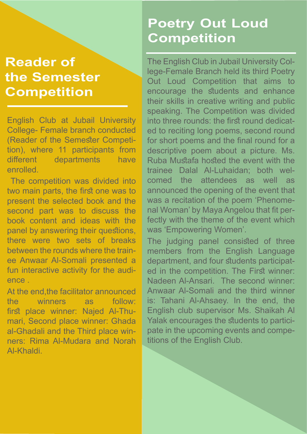#### **Reader of the Semester Competition**

English Club at Jubail University College- Female branch conducted (Reader of the Semester Competition), where 11 participants from different departments have enrolled.

 The competition was divided into two main parts, the first one was to present the selected book and the second part was to discuss the book content and ideas with the panel by answering their questions, there were two sets of breaks between the rounds where the trainee Anwaar Al-Somali presented a fun interactive activity for the audience .

At the end,the facilitator announced the winners as follow: first place winner: Najed Al-Thumari, Second place winner: Ghada al-Ghadali and the Third place winners: Rima Al-Mudara and Norah Al-Khaldi.

## **Poetry Out Loud Competition**

The English Club in Jubail University College-Female Branch held its third Poetry Out Loud Competition that aims to encourage the students and enhance their skills in creative writing and public speaking. The Competition was divided into three rounds: the first round dedicated to reciting long poems, second round for short poems and the final round for a descriptive poem about a picture. Ms. Ruba Mustafa hosted the event with the trainee Dalal Al-Luhaidan; both welcomed the attendees as well as announced the opening of the event that was a recitation of the poem 'Phenomenal Woman' by Maya Angelou that fit perfectly with the theme of the event which was 'Empowering Women'.

The judging panel consisted of three members from the English Language department, and four students participated in the competition. The First winner: Nadeen Al-Ansari. The second winner: Anwaar Al-Somali and the third winner is: Tahani Al-Ahsaey. In the end, the English club supervisor Ms. Shaikah Al Yalak encourages the students to participate in the upcoming events and competitions of the English Club.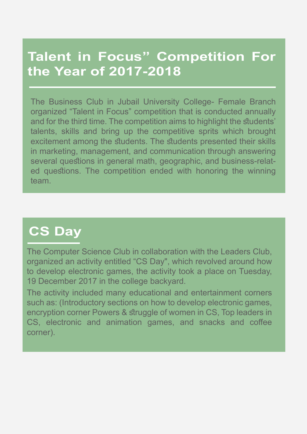#### **Talent in Focus" Competition For the Year of 2017-2018**

The Business Club in Jubail University College- Female Branch organized "Talent in Focus" competition that is conducted annually and for the third time. The competition aims to highlight the students' talents, skills and bring up the competitive sprits which brought excitement among the students. The students presented their skills in marketing, management, and communication through answering several questions in general math, geographic, and business-related questions. The competition ended with honoring the winning team.

## **CS Day**

The Computer Science Club in collaboration with the Leaders Club, organized an activity entitled "CS Day", which revolved around how to develop electronic games, the activity took a place on Tuesday, 19 December 2017 in the college backyard.

The activity included many educational and entertainment corners such as: (Introductory sections on how to develop electronic games, encryption corner Powers & struggle of women in CS, Top leaders in CS, electronic and animation games, and snacks and coffee corner).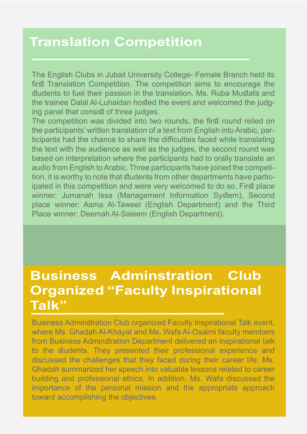#### **Translation Competition**

The English Clubs in Jubail University College- Female Branch held its first Translation Competition. The competition aims to encourage the students to fuel their passion in the translation. Ms. Ruba Mustafa and the trainee Dalal Al-Luhaidan hosted the event and welcomed the judging panel that consist of three judges.

The competition was divided into two rounds, the first round relied on the participants' written translation of a text from English into Arabic, participants had the chance to share the difficulties faced while translating the text with the audience as well as the judges, the second round was based on interpretation where the participants had to orally translate an audio from English to Arabic. Three participants have joined the competition, it is worthy to note that students from other departments have participated in this competition and were very welcomed to do so. First place winner: Jumanah Issa (Management Information System), Second place winner: Asma Al-Taweel (English Department) and the Third Place winner: Deemah Al-Saleem (English Department).

#### **Business Adminstration Club Organized "Faculty Inspirational Talk"**

Business Adminstration Club organized Faculty Inspirational Talk event, where Ms. Ghadah Al-Khayat and Ms. Wafa Al-Osaimi faculty members from Business Adminstration Department delivered an inspirational talk to the students. They presented their professional experience and discussed the challenges that they faced during their career life. Ms. Ghadah summarized her speech into valuable lessons related to career building and professional ethics. In addition, Ms. Wafa discussed the importance of the personal mission and the appropriate approach toward accomplishing the objectives.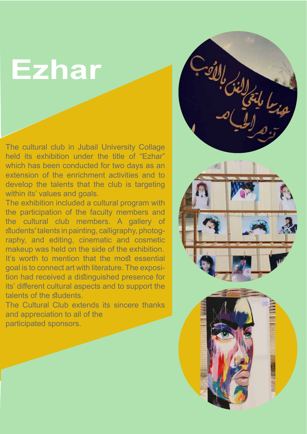# **Ezhar**

The cultural club in Jubail University Collage held its exhibition under the title of "Ezhar" which has been conducted for two days as an extension of the enrichment activities and to develop the talents that the club is targeting within its' values and goals.

The exhibition included a cultural program with the participation of the faculty members and the cultural club members. A gallery of students' talents in painting, calligraphy, photography, and editing, cinematic and cosmetic makeup was held on the side of the exhibition. It's worth to mention that the most essential goal is to connect art with literature. The exposition had received a distinguished presence for its' different cultural aspects and to support the talents of the students.

The Cultural Club extends its sincere thanks and appreciation to all of the participated sponsors.

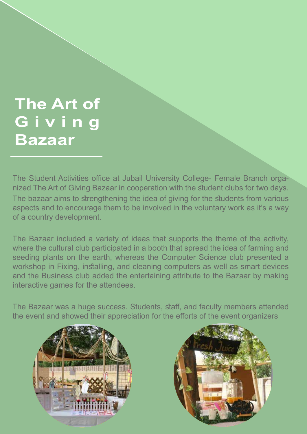# **The Art of G i v i n g Bazaar**

The Student Activities office at Jubail University College- Female Branch organized The Art of Giving Bazaar in cooperation with the student clubs for two days. The bazaar aims to strengthening the idea of giving for the students from various aspects and to encourage them to be involved in the voluntary work as it's a way of a country development.

The Bazaar included a variety of ideas that supports the theme of the activity, where the cultural club participated in a booth that spread the idea of farming and seeding plants on the earth, whereas the Computer Science club presented a workshop in Fixing, installing, and cleaning computers as well as smart devices and the Business club added the entertaining attribute to the Bazaar by making interactive games for the attendees.

The Bazaar was a huge success. Students, staff, and faculty members attended the event and showed their appreciation for the efforts of the event organizers



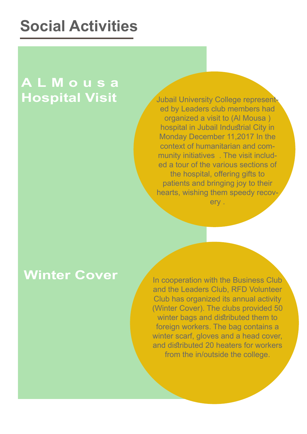# **Social Activities**

## **A L M o u s a Hospital Visit**

Jubail University College represented by Leaders club members had organized a visit to (Al Mousa ) hospital in Jubail Industrial City in Monday December 11,2017 In the context of humanitarian and community initiatives . The visit included a tour of the various sections of the hospital, offering gifts to patients and bringing joy to their hearts, wishing them speedy recovery .

#### **Winter Cover**

In cooperation with the Business Club and the Leaders Club, RFD Volunteer Club has organized its annual activity (Winter Cover). The clubs provided 50 winter bags and distributed them to foreign workers. The bag contains a winter scarf, gloves and a head cover, and distributed 20 heaters for workers from the in/outside the college.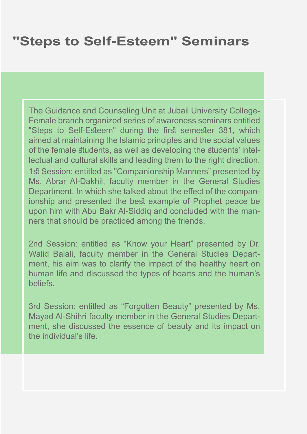#### **"Steps to Self-Esteem" Seminars**

The Guidance and Counseling Unit at Jubail University College-Female branch organized series of awareness seminars entitled "Steps to Self-Esteem" during the first semester 381, which aimed at maintaining the Islamic principles and the social values of the female students, as well as developing the students' intellectual and cultural skills and leading them to the right direction. 1st Session: entitled as "Companionship Manners" presented by Ms. Abrar Al-Dakhil, faculty member in the General Studies Department. In which she talked about the effect of the companionship and presented the best example of Prophet peace be upon him with Abu Bakr Al-Siddiq and concluded with the manners that should be practiced among the friends.

2nd Session: entitled as "Know your Heart" presented by Dr. Walid Balali, faculty member in the General Studies Department, his aim was to clarify the impact of the healthy heart on human life and discussed the types of hearts and the human's beliefs.

3rd Session: entitled as "Forgotten Beauty" presented by Ms. Mayad Al-Shihri faculty member in the General Studies Department, she discussed the essence of beauty and its impact on the individual's life.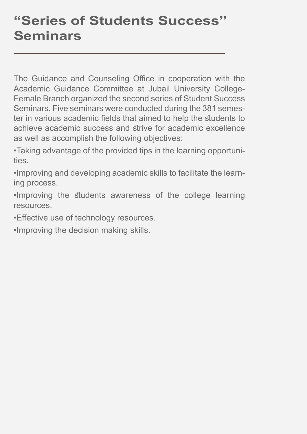## **"Series of Students Success" Seminars**

The Guidance and Counseling Office in cooperation with the Academic Guidance Committee at Jubail University College-Female Branch organized the second series of Student Success Seminars. Five seminars were conducted during the 381 semester in various academic fields that aimed to help the students to achieve academic success and strive for academic excellence as well as accomplish the following objectives:

•Taking advantage of the provided tips in the learning opportunities.

•Improving and developing academic skills to facilitate the learning process.

•Improving the students awareness of the college learning resources.

•Effective use of technology resources.

•Improving the decision making skills.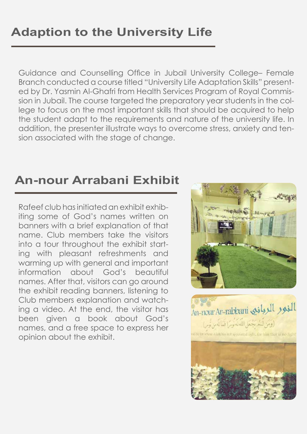## **Adaption to the University Life**

Guidance and Counselling Office in Jubail University College– Female Branch conducted a course titled "University Life Adaptation Skills" presented by Dr. Yasmin Al-Ghafri from Health Services Program of Royal Commission in Jubail. The course targeted the preparatory year students in the college to focus on the most important skills that should be acquired to help the student adapt to the requirements and nature of the university life. In addition, the presenter illustrate ways to overcome stress, anxiety and tension associated with the stage of change.

#### **An-nour Arrabani Exhibit**

Rafeef club has initiated an exhibit exhibiting some of God's names written on banners with a brief explanation of that name. Club members take the visitors into a tour throughout the exhibit starting with pleasant refreshments and warming up with general and important information about God's beautiful names. After that, visitors can go around the exhibit reading banners, listening to Club members explanation and watching a video. At the end, the visitor has been given a book about God's names, and a free space to express her opinion about the exhibit.



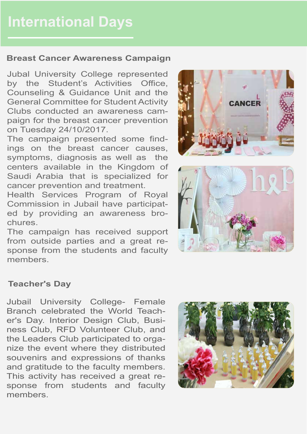#### **Breast Cancer Awareness Campaign**

Jubal University College represented by the Student's Activities Office, Counseling & Guidance Unit and the General Committee for Student Activity Clubs conducted an awareness campaign for the breast cancer prevention on Tuesday 24/10/2017.

The campaign presented some findings on the breast cancer causes, symptoms, diagnosis as well as the centers available in the Kingdom of Saudi Arabia that is specialized for cancer prevention and treatment.

Health Services Program of Royal Commission in Jubail have participated by providing an awareness brochures.

The campaign has received support from outside parties and a great response from the students and faculty members.





#### **Teacher's Day**

Jubail University College- Female Branch celebrated the World Teacher's Day. Interior Design Club, Business Club, RFD Volunteer Club, and the Leaders Club participated to organize the event where they distributed souvenirs and expressions of thanks and gratitude to the faculty members. This activity has received a great response from students and faculty members.

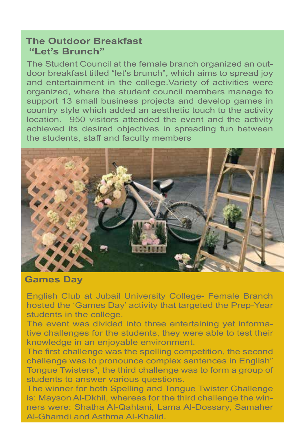#### **The Outdoor Breakfast "Let's Brunch"**

The Student Council at the female branch organized an outdoor breakfast titled "let's brunch", which aims to spread joy and entertainment in the college.Variety of activities were organized, where the student council members manage to support 13 small business projects and develop games in country style which added an aesthetic touch to the activity location. 950 visitors attended the event and the activity achieved its desired objectives in spreading fun between the students, staff and faculty members



**Games Day** 

English Club at Jubail University College- Female Branch hosted the 'Games Day' activity that targeted the Prep-Year students in the college.

The event was divided into three entertaining yet informative challenges for the students, they were able to test their knowledge in an enjoyable environment.

The first challenge was the spelling competition, the second challenge was to pronounce complex sentences in English" Tongue Twisters", the third challenge was to form a group of students to answer various questions.

The winner for both Spelling and Tongue Twister Challenge is: Mayson Al-Dkhil, whereas for the third challenge the winners were: Shatha Al-Qahtani, Lama Al-Dossary, Samaher Al-Ghamdi and Asthma Al-Khalid.